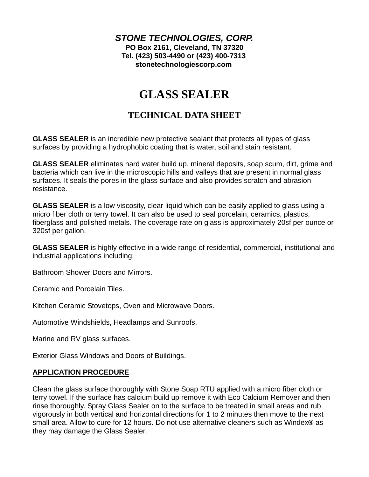*STONE TECHNOLOGIES, CORP.*  **PO Box 2161, Cleveland, TN 37320 Tel. (423) 503-4490 or (423) 400-7313 [stonetechnologiescorp.com](https://stonetechnologiescorp.com)**

# **GLASS SEALER**

# **TECHNICAL DATA SHEET**

**GLASS SEALER** is an incredible new protective sealant that protects all types of glass surfaces by providing a hydrophobic coating that is water, soil and stain resistant.

**GLASS SEALER** eliminates hard water build up, mineral deposits, soap scum, dirt, grime and bacteria which can live in the microscopic hills and valleys that are present in normal glass surfaces. It seals the pores in the glass surface and also provides scratch and abrasion resistance.

**GLASS SEALER** is a low viscosity, clear liquid which can be easily applied to glass using a micro fiber cloth or terry towel. It can also be used to seal porcelain, ceramics, plastics, fiberglass and polished metals. The coverage rate on glass is approximately 20sf per ounce or 320sf per gallon.

**GLASS SEALER** is highly effective in a wide range of residential, commercial, institutional and industrial applications including;

Bathroom Shower Doors and Mirrors.

Ceramic and Porcelain Tiles.

Kitchen Ceramic Stovetops, Oven and Microwave Doors.

Automotive Windshields, Headlamps and Sunroofs.

Marine and RV glass surfaces.

Exterior Glass Windows and Doors of Buildings.

#### **APPLICATION PROCEDURE**

Clean the glass surface thoroughly with Stone Soap RTU applied with a micro fiber cloth or terry towel. If the surface has calcium build up remove it with Eco Calcium Remover and then rinse thoroughly. Spray Glass Sealer on to the surface to be treated in small areas and rub vigorously in both vertical and horizontal directions for 1 to 2 minutes then move to the next small area. Allow to cure for 12 hours. Do not use alternative cleaners such as Windex**®** as they may damage the Glass Sealer.